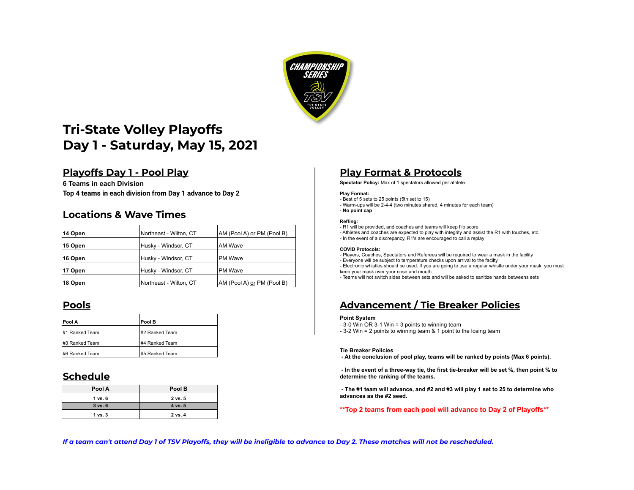

# **Tri-State Volley Playoffs Day 1 - Saturday, May 15, 2021**

## **Playoffs Day 1 - Pool Play Play Format & Protocols**

**6 Teams in each Division Spectator Policy:** Max of 1 spectators allowed per athlete. **Top 4 teams in each division from Day 1 advance to Day 2**

## **Locations & Wave Times**

| 14 Open | Northeast - Wilton, CT | AM (Pool A) or PM (Pool B) |
|---------|------------------------|----------------------------|
| 15 Open | Husky - Windsor, CT    | <b>AM Wave</b>             |
| 16 Open | Husky - Windsor, CT    | <b>PM Wave</b>             |
| 17 Open | Husky - Windsor, CT    | <b>PM Wave</b>             |
| 18 Open | Northeast - Wilton, CT | AM (Pool A) or PM (Pool B) |

| Pool A         | Pool B         | <b>Point System</b><br>- 3-0 Win OR 3-1      |
|----------------|----------------|----------------------------------------------|
| #1 Ranked Team | #2 Ranked Team | $-3-2$ Win = 2 poir                          |
| #3 Ranked Team | #4 Ranked Team |                                              |
| #6 Ranked Team | #5 Ranked Team | <b>Tie Breaker Polio</b><br>- At the conclus |

## **Schedule**

| Pool A      | Pool B  |
|-------------|---------|
| 1 vs. 6     | 2 vs. 5 |
| $3$ vs. $6$ | 4 vs. 5 |
| $1$ vs. $3$ | 2 vs. 4 |

### **Play Format:**

- Best of 5 sets to 25 points (5th set to 15)
- Warm-ups will be 2-4-4 (two minutes shared, 4 minutes for each team) - **No point cap**

- **Reffing:**
- R1 will be provided, and coaches and teams will keep flip score
- Athletes and coaches are expected to play with integrity and assist the R1 with touches, etc.
- In the event of a discrepancy, R1's are encouraged to call a replay

### **COVID Protocols:**

- Players, Coaches, Spectators and Referees will be required to wear a mask in the facility
- Everyone will be subject to temperature checks upon arrival to the facilty

- Electronic whistles should be used. If you are going to use a regular whistle under your mask, you must keep your mask over your nose and mouth.

- Teams will not switch sides between sets and will be asked to sanitize hands betweens sets

## **Pools Advancement / Tie Breaker Policies**

- 3-0 Win OR 3-1 Win = 3 points to winning team
- 3-2 Win = 2 points to winning team & 1 point to the losing team

### **Tie Breaker Policies**

 **- At the conclusion of pool play, teams will be ranked by points (Max 6 points).** 

 **- In the event of a three-way tie, the first tie-breaker will be set %, then point % to determine the ranking of the teams.** 

 **- The #1 team will advance, and #2 and #3 will play 1 set to 25 to determine who advances as the #2 seed.**

**\*\*Top 2 teams from each pool will advance to Day 2 of Playoffs\*\***

*If a team can't attend Day 1 of TSV Playoffs, they will be ineligible to advance to Day 2. These matches will not be rescheduled.*